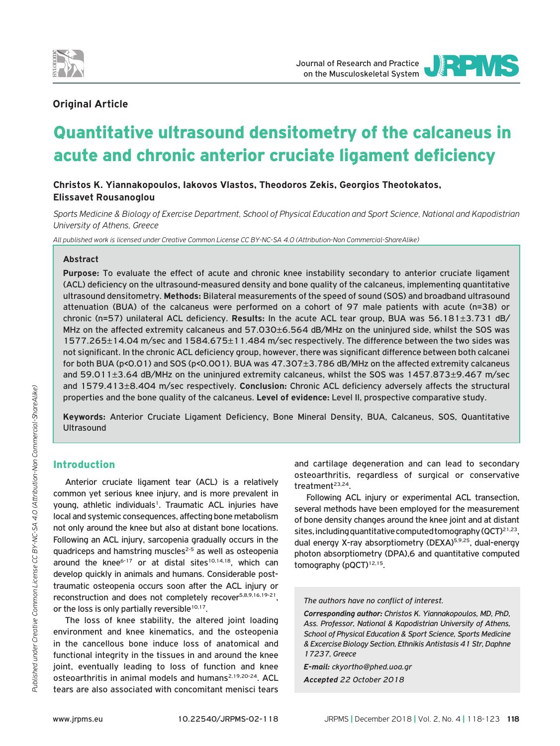



# **Οriginal Article**

# Quantitative ultrasound densitometry of the calcaneus in acute and chronic anterior cruciate ligament deficiency

**Christos K. Yiannakopoulos, Iakovos Vlastos, Theodoros Zekis, Georgios Theotokatos, Elissavet Rousanoglou**

*Sports Medicine & Biology of Exercise Department, School of Physical Education and Sport Science, National and Kapodistrian University of Athens, Greece*

*All published work is licensed under Creative Common License CC BY-NC-SA 4.0 (Attribution-Non Commercial-ShareAlike)*

#### **Abstract**

**Purpose:** To evaluate the effect of acute and chronic knee instability secondary to anterior cruciate ligament (ACL) deficiency on the ultrasound-measured density and bone quality of the calcaneus, implementing quantitative ultrasound densitometry. **Methods:** Bilateral measurements of the speed of sound (SOS) and broadband ultrasound attenuation (BUA) of the calcaneus were performed on a cohort of 97 male patients with acute (n=38) or chronic (n=57) unilateral ACL deficiency. **Results:** In the acute ACL tear group, BUA was 56.181±3.731 dB/ MHz on the affected extremity calcaneus and 57.030±6.564 dB/MHz on the uninjured side, whilst the SOS was 1577.265±14.04 m/sec and 1584.675±11.484 m/sec respectively. The difference between the two sides was not significant. In the chronic ACL deficiency group, however, there was significant difference between both calcanei for both BUA (p<0.01) and SOS (p<0.001). BUA was 47.307±3.786 dB/MHz on the affected extremity calcaneus and 59.011±3.64 dB/MHz on the uninjured extremity calcaneus, whilst the SOS was 1457.873±9.467 m/sec and 1579.413±8.404 m/sec respectively. **Conclusion:** Chronic ACL deficiency adversely affects the structural properties and the bone quality of the calcaneus. **Level of evidence:** Level II, prospective comparative study.

**Keywords:** Anterior Cruciate Ligament Deficiency, Bone Mineral Density, BUA, Calcaneus, SOS, Quantitative **Ultrasound** 

# Introduction

Anterior cruciate ligament tear (ACL) is a relatively common yet serious knee injury, and is more prevalent in young, athletic individuals<sup>1</sup>. Traumatic ACL injuries have local and systemic consequences, affecting bone metabolism not only around the knee but also at distant bone locations. Following an ACL injury, sarcopenia gradually occurs in the quadriceps and hamstring muscles<sup>2-5</sup> as well as osteopenia around the knee<sup>6-17</sup> or at distal sites<sup>10,14,18</sup>, which can develop quickly in animals and humans. Considerable posttraumatic osteopenia occurs soon after the ACL injury or reconstruction and does not completely recover<sup>5,8,9,16,19-21</sup>. or the loss is only partially reversible $10,17$ .

The loss of knee stability, the altered joint loading environment and knee kinematics, and the osteopenia in the cancellous bone induce loss of anatomical and functional integrity in the tissues in and around the knee joint, eventually leading to loss of function and knee osteoarthritis in animal models and humans<sup>2,19,20-24</sup>. ACL tears are also associated with concomitant menisci tears

and cartilage degeneration and can lead to secondary osteoarthritis, regardless of surgical or conservative treatment<sup>23,24</sup>.

Following ACL injury or experimental ACL transection, several methods have been employed for the measurement of bone density changes around the knee joint and at distant sites, including quantitative computed tomography (QCT)<sup>21,23</sup>, dual energy X-ray absorptiometry (DEXA)<sup>5,9,25</sup>, dual-energy photon absorptiometry (DPA),6 and quantitative computed tomography (pQCT)<sup>12,15</sup>.

*The authors have no conflict of interest.*

*Corresponding author: Christos K. Yiannakopoulos, MD, PhD, Ass. Professor, National & Kapodistrian University of Athens, School of Physical Education & Sport Science, Sports Medicine & Excercise Biology Section, Ethnikis Antistasis 41 Str, Daphne 17237, Greece*

*E-mail: ckyortho@phed.uoa.gr Accepted 22 October 2018*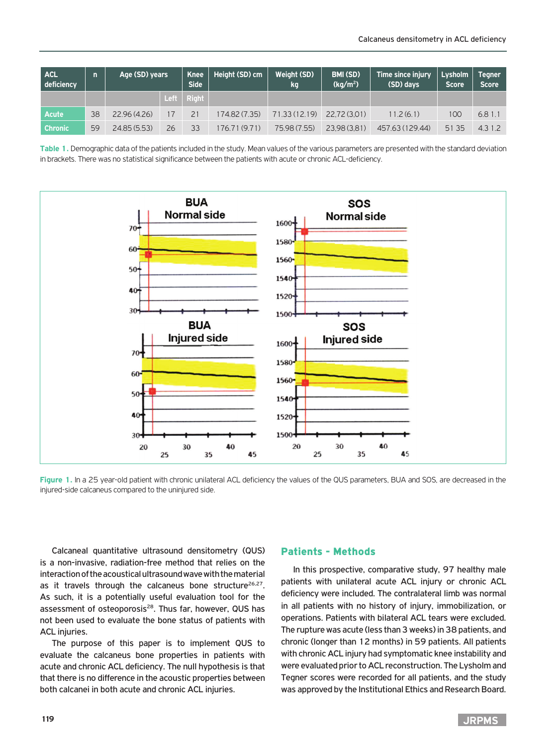| <b>ACL</b><br>deficiency | $\overline{ }$ | Age (SD) years |    | <b>Knee</b><br><b>Side</b> | Height (SD) cm | <b>Weight (SD)</b><br>kg | BMI (SD)<br>(kq/m <sup>2</sup> ) | Time since injury<br>(SD) days | Lysholm<br><b>Score</b> | Tegner <sup>1</sup><br><b>Score</b> |
|--------------------------|----------------|----------------|----|----------------------------|----------------|--------------------------|----------------------------------|--------------------------------|-------------------------|-------------------------------------|
|                          |                |                |    | Left $\vert$ Right         |                |                          |                                  |                                |                         |                                     |
| Acute                    | 38             | 22.96(4.26)    | 7  | 21                         | 174.82 (7.35)  | 71.33(12.19)             | 22.72 (3.01)                     | 11.2(6.1)                      | 100                     | 6.81.1                              |
| <b>Chronic</b>           | 59             | 24.85 (5.53)   | 26 | 33                         | 176.71 (9.71)  | 75.98 (7.55)             | 23.98 (3.81)                     | 457.63 (129.44)                | 51 35                   | 4.3 1.2                             |

Table 1. Demographic data of the patients included in the study. Mean values of the various parameters are presented with the standard deviation in brackets. There was no statistical significance between the patients with acute or chronic ACL-deficiency.



Figure 1. In a 25 year-old patient with chronic unilateral ACL deficiency the values of the QUS parameters, BUA and SOS, are decreased in the injured-side calcaneus compared to the uninjured side.

Calcaneal quantitative ultrasound densitometry (QUS) is a non-invasive, radiation-free method that relies on the interaction of the acoustical ultrasound wave with the material as it travels through the calcaneus bone structure<sup>26,27</sup>. As such, it is a potentially useful evaluation tool for the assessment of osteoporosis<sup>28</sup>. Thus far, however, QUS has not been used to evaluate the bone status of patients with ACL injuries.

The purpose of this paper is to implement QUS to evaluate the calcaneus bone properties in patients with acute and chronic ACL deficiency. The null hypothesis is that that there is no difference in the acoustic properties between both calcanei in both acute and chronic ACL injuries.

#### Patients - Methods

In this prospective, comparative study, 97 healthy male patients with unilateral acute ACL injury or chronic ACL deficiency were included. The contralateral limb was normal in all patients with no history of injury, immobilization, or operations. Patients with bilateral ACL tears were excluded. The rupture was acute (less than 3 weeks) in 38 patients, and chronic (longer than 12 months) in 59 patients. All patients with chronic ACL injury had symptomatic knee instability and were evaluated prior to ACL reconstruction. The Lysholm and Tegner scores were recorded for all patients, and the study was approved by the Institutional Ethics and Research Board.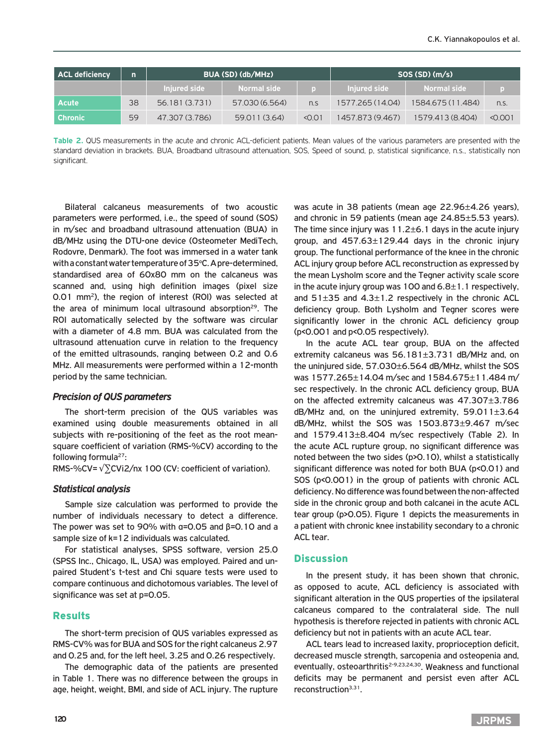| <b>ACL deficiency</b> | $\mathsf{n}$ |                | BUA (SD) (db/MHz) |        | SOS(SD)(m/s)     |                   |         |  |
|-----------------------|--------------|----------------|-------------------|--------|------------------|-------------------|---------|--|
|                       |              | Iniured side   | Normal side       |        | Iniured side     | Normal side       |         |  |
| <b>Acute</b>          | 38           | 56.181 (3.731) | 57.030 (6.564)    | n.S    | 1577.265 (14.04) | 1584.675 (11.484) | n.S.    |  |
| Chronic               | 59           | 47.307 (3.786) | 59.011 (3.64)     | < 0.01 | 1457.873 (9.467) | 1579.413 (8.404)  | < 0.001 |  |

**Table 2.** QUS measurements in the acute and chronic ACL-deficient patients. Mean values of the various parameters are presented with the standard deviation in brackets. BUA, Broadband ultrasound attenuation, SOS, Speed of sound, p, statistical significance, n.s., statistically non significant.

Bilateral calcaneus measurements of two acoustic parameters were performed, i.e., the speed of sound (SOS) in m/sec and broadband ultrasound attenuation (BUA) in dB/MHz using the DTU-one device (Osteometer MediTech, Rodovre, Denmark). The foot was immersed in a water tank with a constant water temperature of 35°C. A pre-determined, standardised area of 60x80 mm on the calcaneus was scanned and, using high definition images (pixel size 0.01 mm2), the region of interest (ROI) was selected at the area of minimum local ultrasound absorption<sup>29</sup>. The ROI automatically selected by the software was circular with a diameter of 4.8 mm. BUA was calculated from the ultrasound attenuation curve in relation to the frequency of the emitted ultrasounds, ranging between 0.2 and 0.6 MHz. All measurements were performed within a 12-month period by the same technician.

#### *Precision of QUS parameters*

The short-term precision of the QUS variables was examined using double measurements obtained in all subjects with re-positioning of the feet as the root meansquare coefficient of variation (RMS-%CV) according to the following formula $27$ :

RMS-%CV= $\sqrt{\sum}$ CVi2/nx 100 (CV: coefficient of variation).

#### *Statistical analysis*

Sample size calculation was performed to provide the number of individuals necessary to detect a difference. The power was set to 90% with  $\alpha$ =0.05 and  $\beta$ =0.10 and a sample size of k=12 individuals was calculated.

For statistical analyses, SPSS software, version 25.0 (SPSS Inc., Chicago, IL, USA) was employed. Paired and unpaired Student's t-test and Chi square tests were used to compare continuous and dichotomous variables. The level of significance was set at p=0.05.

#### Results

The short-term precision of QUS variables expressed as RMS-CV% was for BUA and SOS for the right calcaneus 2.97 and 0.25 and, for the left heel, 3.25 and 0.26 respectively.

The demographic data of the patients are presented in Table 1. There was no difference between the groups in age, height, weight, BMI, and side of ACL injury. The rupture

was acute in 38 patients (mean age 22.96±4.26 years), and chronic in 59 patients (mean age 24.85±5.53 years). The time since injury was  $11.2 \pm 6.1$  days in the acute injury group, and  $457.63 \pm 129.44$  days in the chronic injury group. The functional performance of the knee in the chronic ACL injury group before ACL reconstruction as expressed by the mean Lysholm score and the Tegner activity scale score in the acute injury group was 100 and  $6.8 \pm 1.1$  respectively, and  $51\pm35$  and  $4.3\pm1.2$  respectively in the chronic ACL deficiency group. Both Lysholm and Tegner scores were significantly lower in the chronic ACL deficiency group (p<0.001 and p<0.05 respectively).

In the acute ACL tear group, BUA on the affected extremity calcaneus was 56.181±3.731 dB/MHz and, on the uninjured side, 57.030±6.564 dB/MHz, whilst the SOS was 1577.265±14.04 m/sec and 1584.675±11.484 m/ sec respectively. In the chronic ACL deficiency group, BUA on the affected extremity calcaneus was 47.307±3.786  $dB/MHz$  and, on the uninjured extremity, 59.011 $\pm$ 3.64 dB/MHz, whilst the SOS was 1503.873±9.467 m/sec and 1579.413±8.404 m/sec respectively (Table 2). In the acute ACL rupture group, no significant difference was noted between the two sides (p>0.10), whilst a statistically significant difference was noted for both BUA (p<0.01) and SOS (p<0.001) in the group of patients with chronic ACL deficiency. No difference was found between the non-affected side in the chronic group and both calcanei in the acute ACL tear group (p>0.05). Figure 1 depicts the measurements in a patient with chronic knee instability secondary to a chronic ACL tear.

#### **Discussion**

In the present study, it has been shown that chronic, as opposed to acute, ACL deficiency is associated with significant alteration in the QUS properties of the ipsilateral calcaneus compared to the contralateral side. The null hypothesis is therefore rejected in patients with chronic ACL deficiency but not in patients with an acute ACL tear.

ACL tears lead to increased laxity, proprioception deficit, decreased muscle strength, sarcopenia and osteopenia and, eventually, osteoarthritis<sup>2-9,23,24,30</sup>. Weakness and functional deficits may be permanent and persist even after ACL reconstruction<sup>3,31</sup>.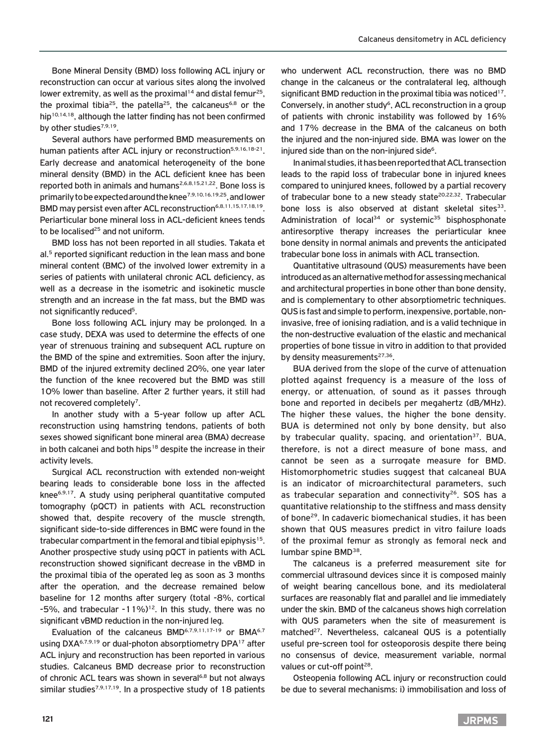Bone Mineral Density (BMD) loss following ACL injury or reconstruction can occur at various sites along the involved lower extremity, as well as the proximal<sup>14</sup> and distal femur<sup>25</sup>, the proximal tibia<sup>25</sup>, the patella<sup>25</sup>, the calcaneus<sup>6,8</sup> or the hip<sup>10,14,18</sup>, although the latter finding has not been confirmed by other studies<sup>7,9,19</sup>.

Several authors have performed BMD measurements on human patients after ACL injury or reconstruction<sup>5,9,16,18-21</sup>. Early decrease and anatomical heterogeneity of the bone mineral density (BMD) in the ACL deficient knee has been reported both in animals and humans<sup>2,6,8,15,21,22</sup>. Bone loss is primarily to be expected around the knee7,9,10,16,19,25, and lower BMD may persist even after ACL reconstruction<sup>6,8,11,15,17,18,19</sup>. Periarticular bone mineral loss in ACL-deficient knees tends to be localised $25$  and not uniform.

BMD loss has not been reported in all studies. Takata et al.<sup>5</sup> reported significant reduction in the lean mass and bone mineral content (BMC) of the involved lower extremity in a series of patients with unilateral chronic ACL deficiency, as well as a decrease in the isometric and isokinetic muscle strength and an increase in the fat mass, but the BMD was not significantly reduced<sup>5</sup>.

Bone loss following ACL injury may be prolonged. In a case study, DEXA was used to determine the effects of one year of strenuous training and subsequent ACL rupture on the BMD of the spine and extremities. Soon after the injury, BMD of the injured extremity declined 20%, one year later the function of the knee recovered but the BMD was still 10% lower than baseline. After 2 further years, it still had not recovered completely<sup>7</sup>.

In another study with a 5-year follow up after ACL reconstruction using hamstring tendons, patients of both sexes showed significant bone mineral area (BMA) decrease in both calcanei and both hips<sup>18</sup> despite the increase in their activity levels.

Surgical ACL reconstruction with extended non-weight bearing leads to considerable bone loss in the affected knee6,9,17. A study using peripheral quantitative computed tomography (pQCT) in patients with ACL reconstruction showed that, despite recovery of the muscle strength, significant side-to-side differences in BMC were found in the trabecular compartment in the femoral and tibial epiphysis<sup>15</sup>. Another prospective study using pQCT in patients with ACL reconstruction showed significant decrease in the vBMD in the proximal tibia of the operated leg as soon as 3 months after the operation, and the decrease remained below baseline for 12 months after surgery (total -8%, cortical -5%, and trabecular  $-11\%$ <sup>12</sup>. In this study, there was no significant vBMD reduction in the non-injured leg.

Evaluation of the calcaneus BMD<sup>6,7,9,11,17-19</sup> or BMA<sup>6,7</sup> using DXA<sup>6,7,9,19</sup> or dual-photon absorptiometry DPA<sup>17</sup> after ACL injury and reconstruction has been reported in various studies. Calcaneus BMD decrease prior to reconstruction of chronic ACL tears was shown in several<sup>6,8</sup> but not always similar studies<sup>7,9,17,19</sup>. In a prospective study of 18 patients

who underwent ACL reconstruction, there was no BMD change in the calcaneus or the contralateral leg, although significant BMD reduction in the proximal tibia was noticed<sup>17</sup>. Conversely, in another study<sup>6</sup>, ACL reconstruction in a group of patients with chronic instability was followed by 16% and 17% decrease in the BMA of the calcaneus on both the injured and the non-injured side. BMA was lower on the injured side than on the non-injured side<sup>6</sup>.

In animal studies, it has been reported that ACL transection leads to the rapid loss of trabecular bone in injured knees compared to uninjured knees, followed by a partial recovery of trabecular bone to a new steady state<sup>20,22,32</sup>. Trabecular bone loss is also observed at distant skeletal sites<sup>33</sup>. Administration of local<sup>34</sup> or systemic<sup>35</sup> bisphosphonate antiresorptive therapy increases the periarticular knee bone density in normal animals and prevents the anticipated trabecular bone loss in animals with ACL transection.

Quantitative ultrasound (QUS) measurements have been introduced as an alternative method for assessing mechanical and architectural properties in bone other than bone density, and is complementary to other absorptiometric techniques. QUS is fast and simple to perform, inexpensive, portable, noninvasive, free of ionising radiation, and is a valid technique in the non-destructive evaluation of the elastic and mechanical properties of bone tissue in vitro in addition to that provided by density measurements<sup>27,36</sup>.

BUA derived from the slope of the curve of attenuation plotted against frequency is a measure of the loss of energy, or attenuation, of sound as it passes through bone and reported in decibels per megahertz (dB/MHz). The higher these values, the higher the bone density. BUA is determined not only by bone density, but also by trabecular quality, spacing, and orientation<sup>37</sup>. BUA, therefore, is not a direct measure of bone mass, and cannot be seen as a surrogate measure for BMD. Histomorphometric studies suggest that calcaneal BUA is an indicator of microarchitectural parameters, such as trabecular separation and connectivity<sup>26</sup>. SOS has a quantitative relationship to the stiffness and mass density of bone29. In cadaveric biomechanical studies, it has been shown that QUS measures predict in vitro failure loads of the proximal femur as strongly as femoral neck and lumbar spine BMD<sup>38</sup>.

The calcaneus is a preferred measurement site for commercial ultrasound devices since it is composed mainly of weight bearing cancellous bone, and its mediolateral surfaces are reasonably flat and parallel and lie immediately under the skin. BMD of the calcaneus shows high correlation with QUS parameters when the site of measurement is matched<sup>27</sup>. Nevertheless, calcaneal QUS is a potentially useful pre-screen tool for osteoporosis despite there being no consensus of device, measurement variable, normal values or cut-off point<sup>28</sup>.

Osteopenia following ACL injury or reconstruction could be due to several mechanisms: i) immobilisation and loss of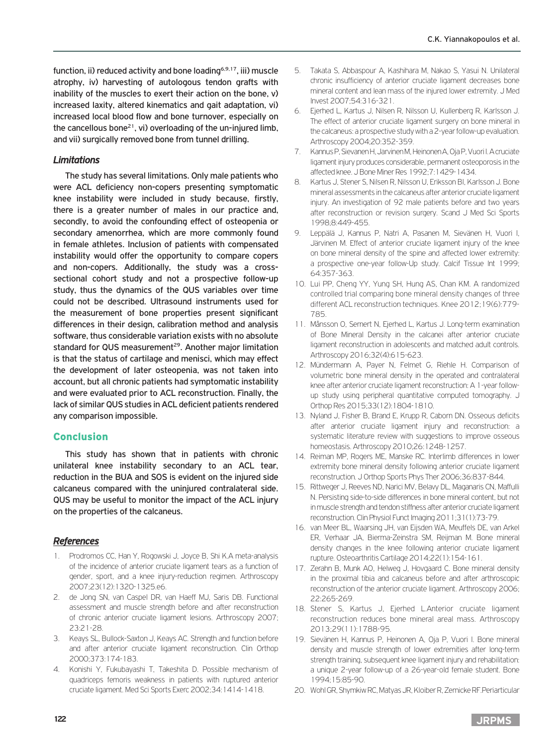function, ii) reduced activity and bone loading<sup>6,9,17</sup>, iii) muscle atrophy, iv) harvesting of autologous tendon grafts with inability of the muscles to exert their action on the bone, v) increased laxity, altered kinematics and gait adaptation, vi) increased local blood flow and bone turnover, especially on the cancellous bone<sup>21</sup>, vi) overloading of the un-injured limb, and vii) surgically removed bone from tunnel drilling.

### *Limitations*

The study has several limitations. Only male patients who were ACL deficiency non-copers presenting symptomatic knee instability were included in study because, firstly, there is a greater number of males in our practice and, secondly, to avoid the confounding effect of osteopenia or secondary amenorrhea, which are more commonly found in female athletes. Inclusion of patients with compensated instability would offer the opportunity to compare copers and non-copers. Additionally, the study was a crosssectional cohort study and not a prospective follow-up study, thus the dynamics of the QUS variables over time could not be described. Ultrasound instruments used for the measurement of bone properties present significant differences in their design, calibration method and analysis software, thus considerable variation exists with no absolute standard for QUS measurement<sup>29</sup>. Another major limitation is that the status of cartilage and menisci, which may effect the development of later osteopenia, was not taken into account, but all chronic patients had symptomatic instability and were evaluated prior to ACL reconstruction. Finally, the lack of similar QUS studies in ACL deficient patients rendered any comparison impossible.

# Conclusion

This study has shown that in patients with chronic unilateral knee instability secondary to an ACL tear, reduction in the BUA and SOS is evident on the injured side calcaneus compared with the uninjured contralateral side. QUS may be useful to monitor the impact of the ACL injury on the properties of the calcaneus.

#### *References*

- 1. Prodromos CC, Han Y, Rogowski J, Joyce B, Shi K.A meta-analysis of the incidence of anterior cruciate ligament tears as a function of gender, sport, and a knee injury-reduction regimen. Arthroscopy 2007;23(12):1320-1325.e6.
- 2. de Jong SN, van Caspel DR, van Haeff MJ, Saris DB. Functional assessment and muscle strength before and after reconstruction of chronic anterior cruciate ligament lesions. Arthroscopy 2007; 23:21-28.
- 3. Keays SL, Bullock-Saxton J, Keays AC. Strength and function before and after anterior cruciate ligament reconstruction. Clin Orthop 2000;373:174-183.
- 4. Konishi Y, Fukubayashi T, Takeshita D. Possible mechanism of quadriceps femoris weakness in patients with ruptured anterior cruciate ligament. Med Sci Sports Exerc 2002;34:1414-1418.
- 5. Takata S, Abbaspour A, Kashihara M, Nakao S, Yasui N. Unilateral chronic insufficiency of anterior cruciate ligament decreases bone mineral content and lean mass of the injured lower extremity. J Med Invest 2007;54:316-321.
- 6. Ejerhed L, Kartus J, Nilsen R, Nilsson U, Kullenberg R, Karlsson J. The effect of anterior cruciate ligament surgery on bone mineral in the calcaneus: a prospective study with a 2-year follow-up evaluation. Arthroscopy 2004;20:352-359.
- 7. Kannus P, Sievanen H, Jarvinen M, Heinonen A, Oja P, Vuori I. A cruciate ligament injury produces considerable, permanent osteoporosis in the affected knee. J Bone Miner Res 1992;7:1429-1434.
- 8. Kartus J, Stener S, Nilsen R, Nilsson U, Eriksson BI, Karlsson J, Bone mineral assessments in the calcaneus after anterior cruciate ligament injury. An investigation of 92 male patients before and two years after reconstruction or revision surgery. Scand J Med Sci Sports 1998;8:449-455.
- 9. Leppälä J, Kannus P, Natri A, Pasanen M, Sievänen H, Vuori I, Järvinen M. Effect of anterior cruciate ligament injury of the knee on bone mineral density of the spine and affected lower extremity: a prospective one-year follow-Up study. Calcif Tissue Int 1999; 64:357-363.
- 10. Lui PP, Cheng YY, Yung SH, Hung AS, Chan KM. A randomized controlled trial comparing bone mineral density changes of three different ACL reconstruction techniques. Knee 2012;19(6):779- 785.
- 11. Månsson O, Sernert N, Ejerhed L, Kartus J. Long-term examination of Bone Mineral Density in the calcanei after anterior cruciate ligament reconstruction in adolescents and matched adult controls. Arthroscopy 2016;32(4):615-623.
- 12. Mündermann A, Payer N, Felmet G, Riehle H. Comparison of volumetric bone mineral density in the operated and contralateral knee after anterior cruciate ligament reconstruction: A 1-year followup study using peripheral quantitative computed tomography. J Orthop Res 2015;33(12):1804-1810.
- 13. Nyland J, Fisher B, Brand E, Krupp R, Caborn DN. Osseous deficits after anterior cruciate ligament injury and reconstruction: a systematic literature review with suggestions to improve osseous homeostasis. Arthroscopy 2010;26:1248-1257.
- 14. Reiman MP, Rogers ME, Manske RC. Interlimb differences in lower extremity bone mineral density following anterior cruciate ligament reconstruction. J Orthop Sports Phys Ther 2006;36:837-844.
- 15. Rittweger J, Reeves ND, Narici MV, Belavy DL, Maganaris CN, Maffulli N. Persisting side-to-side differences in bone mineral content, but not in muscle strength and tendon stiffness after anterior cruciate ligament reconstruction. Clin Physiol Funct Imaging 2011;31(1):73-79.
- 16. van Meer BL, Waarsing JH, van Eijsden WA, Meuffels DE, van Arkel ER, Verhaar JA, Bierma-Zeinstra SM, Reijman M. Bone mineral density changes in the knee following anterior cruciate ligament rupture. Osteoarthritis Cartilage 2014;22(1):154-161.
- 17. Zerahn B, Munk AO, Helweg J, Hovgaard C. Bone mineral density in the proximal tibia and calcaneus before and after arthroscopic reconstruction of the anterior cruciate ligament. Arthroscopy 2006; 22:265-269.
- 18. Stener S, Kartus J, Ejerhed L.Anterior cruciate ligament reconstruction reduces bone mineral areal mass. Arthroscopy 2013;29(11):1788-95.
- 19. Sievänen H, Kannus P, Heinonen A, Oja P, Vuori I. Bone mineral density and muscle strength of lower extremities after long-term strength training, subsequent knee ligament injury and rehabilitation: a unique 2-year follow-up of a 26-year-old female student. Bone 1994;15:85-90.
- 20. Wohl GR, Shymkiw RC, Matyas JR, Kloiber R, Zernicke RF.Periarticular